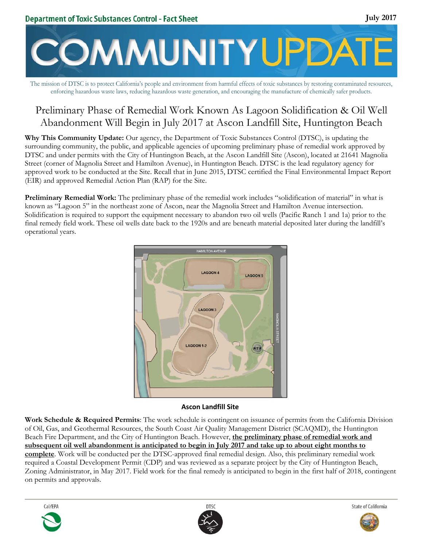

The mission of DTSC is to protect California's people and environment from harmful effects of toxic substances by restoring contaminated resources, enforcing hazardous waste laws, reducing hazardous waste generation, and encouraging the manufacture of chemically safer products.

# Preliminary Phase of Remedial Work Known As Lagoon Solidification & Oil Well Abandonment Will Begin in July 2017 at Ascon Landfill Site, Huntington Beach

**Why This Community Update:** Our agency, the Department of Toxic Substances Control (DTSC), is updating the surrounding community, the public, and applicable agencies of upcoming preliminary phase of remedial work approved by DTSC and under permits with the City of Huntington Beach, at the Ascon Landfill Site (Ascon), located at 21641 Magnolia Street (corner of Magnolia Street and Hamilton Avenue), in Huntington Beach. DTSC is the lead regulatory agency for approved work to be conducted at the Site. Recall that in June 2015, DTSC certified the Final Environmental Impact Report (EIR) and approved Remedial Action Plan (RAP) for the Site.

**Preliminary Remedial Work:** The preliminary phase of the remedial work includes "solidification of material" in what is known as "Lagoon 5" in the northeast zone of Ascon, near the Magnolia Street and Hamilton Avenue intersection. Solidification is required to support the equipment necessary to abandon two oil wells (Pacific Ranch 1 and 1a) prior to the final remedy field work. These oil wells date back to the 1920s and are beneath material deposited later during the landfill's operational years.



#### **Ascon Landfill Site**

**Work Schedule & Required Permits**: The work schedule is contingent on issuance of permits from the California Division of Oil, Gas, and Geothermal Resources, the South Coast Air Quality Management District (SCAQMD), the Huntington Beach Fire Department, and the City of Huntington Beach. However, **the preliminary phase of remedial work and subsequent oil well abandonment is anticipated to begin in July 2017 and take up to about eight months to complete**. Work will be conducted per the DTSC-approved final remedial design. Also, this preliminary remedial work required a Coastal Development Permit (CDP) and was reviewed as a separate project by the City of Huntington Beach, Zoning Administrator, in May 2017. Field work for the final remedy is anticipated to begin in the first half of 2018, contingent on permits and approvals.







**July 2017**

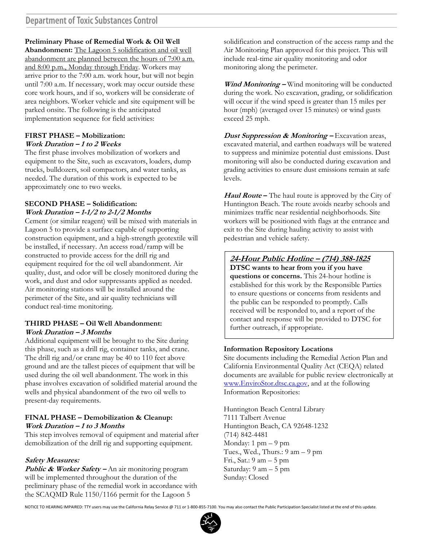# **Preliminary Phase of Remedial Work & Oil Well**

**Abandonment:** The Lagoon 5 solidification and oil well abandonment are planned between the hours of 7:00 a.m. and 8:00 p.m., Monday through Friday. Workers may arrive prior to the 7:00 a.m. work hour, but will not begin until 7:00 a.m. If necessary, work may occur outside these core work hours, and if so, workers will be considerate of area neighbors. Worker vehicle and site equipment will be parked onsite. The following is the anticipated implementation sequence for field activities:

#### **FIRST PHASE – Mobilization: Work Duration – 1 to 2 Weeks**

The first phase involves mobilization of workers and equipment to the Site, such as excavators, loaders, dump trucks, bulldozers, soil compactors, and water tanks, as needed. The duration of this work is expected to be approximately one to two weeks.

### **SECOND PHASE – Solidification: Work Duration – 1-1/2 to 2-1/2 Months**

Cement (or similar reagent) will be mixed with materials in Lagoon 5 to provide a surface capable of supporting construction equipment, and a high-strength geotextile will be installed, if necessary. An access road/ramp will be constructed to provide access for the drill rig and equipment required for the oil well abandonment. Air quality, dust, and odor will be closely monitored during the work, and dust and odor suppressants applied as needed. Air monitoring stations will be installed around the perimeter of the Site, and air quality technicians will conduct real-time monitoring.

#### **THIRD PHASE – Oil Well Abandonment: Work Duration – 3 Months**

Additional equipment will be brought to the Site during this phase, such as a drill rig, container tanks, and crane. The drill rig and/or crane may be 40 to 110 feet above ground and are the tallest pieces of equipment that will be used during the oil well abandonment. The work in this phase involves excavation of solidified material around the wells and physical abandonment of the two oil wells to present-day requirements.

# **FINAL PHASE – Demobilization & Cleanup: Work Duration – 1 to 3 Months**

This step involves removal of equipment and material after demobilization of the drill rig and supporting equipment.

# **Safety Measures:**

Public & Worker Safety – An air monitoring program will be implemented throughout the duration of the preliminary phase of the remedial work in accordance with the SCAQMD Rule 1150/1166 permit for the Lagoon 5

solidification and construction of the access ramp and the Air Monitoring Plan approved for this project. This will include real-time air quality monitoring and odor monitoring along the perimeter.

**Wind Monitoring –** Wind monitoring will be conducted during the work. No excavation, grading, or solidification will occur if the wind speed is greater than 15 miles per hour (mph) (averaged over 15 minutes) or wind gusts exceed 25 mph.

**Dust Suppression & Monitoring – Excavation areas,** excavated material, and earthen roadways will be watered to suppress and minimize potential dust emissions. Dust monitoring will also be conducted during excavation and grading activities to ensure dust emissions remain at safe levels.

**Haul Route –** The haul route is approved by the City of Huntington Beach. The route avoids nearby schools and minimizes traffic near residential neighborhoods. Site workers will be positioned with flags at the entrance and exit to the Site during hauling activity to assist with pedestrian and vehicle safety.

### **24-Hour Public Hotline – (714) 388-1825 DTSC wants to hear from you if you have**

**questions or concerns.** This 24-hour hotline is established for this work by the Responsible Parties to ensure questions or concerns from residents and the public can be responded to promptly. Calls received will be responded to, and a report of the contact and response will be provided to DTSC for further outreach, if appropriate.

# **Information Repository Locations**

Site documents including the Remedial Action Plan and California Environmental Quality Act (CEQA) related documents are available for public review electronically at www.EnviroStor.dtsc.ca.gov, and at the following Information Repositories:

Huntington Beach Central Library 7111 Talbert Avenue Huntington Beach, CA 92648-1232 (714) 842-4481 Monday:  $1 \text{ pm} - 9 \text{ pm}$ Tues., Wed., Thurs.: 9 am – 9 pm Fri., Sat.: 9 am – 5 pm Saturday: 9 am – 5 pm Sunday: Closed

NOTICE TO HEARING IMPAIRED: TTY users may use the California Relay Service @ 711 or 1‐800‐855‐7100. You may also contact the Public Participation Specialist listed at the end of this update.

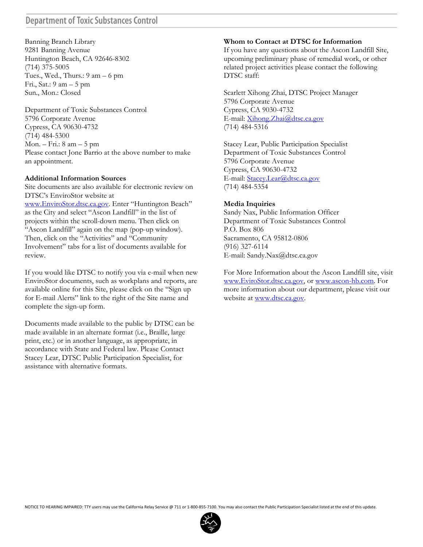# **Department of Toxic Substances Control**

Banning Branch Library 9281 Banning Avenue Huntington Beach, CA 92646-8302 (714) 375-5005 Tues., Wed., Thurs.: 9 am – 6 pm Fri., Sat.: 9 am – 5 pm Sun., Mon.: Closed

Department of Toxic Substances Control 5796 Corporate Avenue Cypress, CA 90630-4732 (714) 484-5300 Mon. – Fri.: 8 am – 5 pm Please contact Jone Barrio at the above number to make an appointment.

#### **Additional Information Sources**

Site documents are also available for electronic review on DTSC's EnviroStor website at www.EnviroStor.dtsc.ca.gov. Enter "Huntington Beach" as the City and select "Ascon Landfill" in the list of projects within the scroll-down menu. Then click on "Ascon Landfill" again on the map (pop-up window). Then, click on the "Activities" and "Community Involvement" tabs for a list of documents available for review.

If you would like DTSC to notify you via e-mail when new EnviroStor documents, such as workplans and reports, are available online for this Site, please click on the "Sign up for E-mail Alerts" link to the right of the Site name and complete the sign-up form.

Documents made available to the public by DTSC can be made available in an alternate format (i.e., Braille, large print, etc.) or in another language, as appropriate, in accordance with State and Federal law. Please Contact Stacey Lear, DTSC Public Participation Specialist, for assistance with alternative formats.

#### **Whom to Contact at DTSC for Information**

If you have any questions about the Ascon Landfill Site, upcoming preliminary phase of remedial work, or other related project activities please contact the following DTSC staff:

Scarlett Xihong Zhai, DTSC Project Manager 5796 Corporate Avenue Cypress, CA 9030-4732 E-mail: Xihong.Zhai@dtsc.ca.gov (714) 484-5316

Stacey Lear, Public Participation Specialist Department of Toxic Substances Control 5796 Corporate Avenue Cypress, CA 90630-4732 E-mail: Stacey.Lear@dtsc.ca.gov (714) 484-5354

### **Media Inquiries**

Sandy Nax, Public Information Officer Department of Toxic Substances Control P.O. Box 806 Sacramento, CA 95812-0806 (916) 327-6114 E-mail: Sandy.Nax@dtsc.ca.gov

For More Information about the Ascon Landfill site, visit www.EviroStor.dtsc.ca.gov, or www.ascon-hb.com. For more information about our department, please visit our website at www.dtsc.ca.gov.